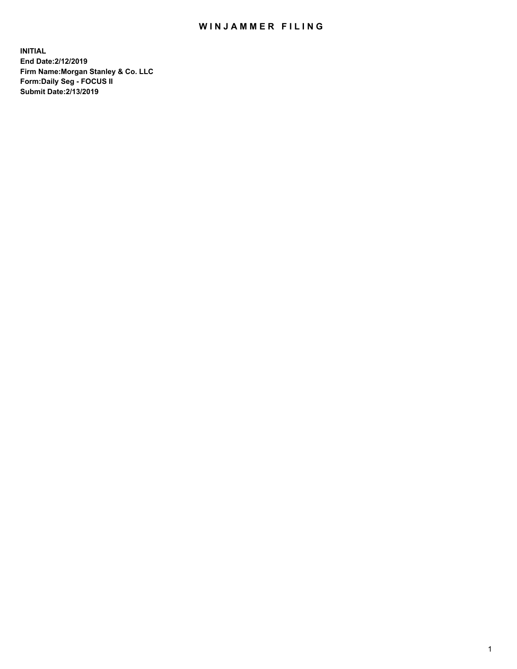## WIN JAMMER FILING

**INITIAL End Date:2/12/2019 Firm Name:Morgan Stanley & Co. LLC Form:Daily Seg - FOCUS II Submit Date:2/13/2019**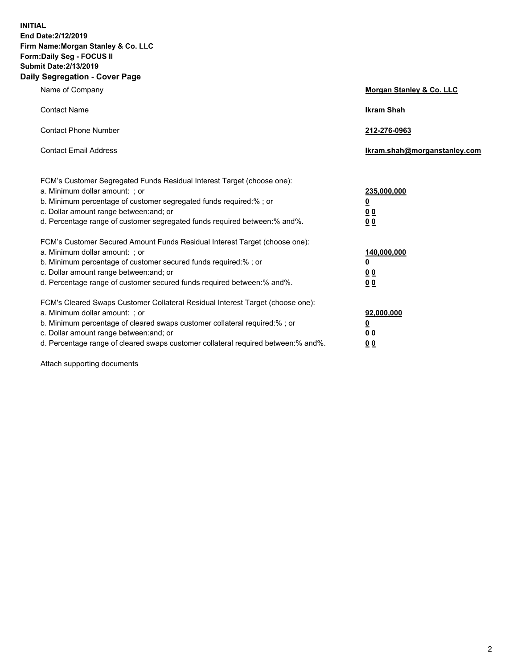**INITIAL End Date:2/12/2019 Firm Name:Morgan Stanley & Co. LLC Form:Daily Seg - FOCUS II Submit Date:2/13/2019 Daily Segregation - Cover Page**

| Name of Company                                                                                                                                                                                                                                                                                                               | Morgan Stanley & Co. LLC                                    |
|-------------------------------------------------------------------------------------------------------------------------------------------------------------------------------------------------------------------------------------------------------------------------------------------------------------------------------|-------------------------------------------------------------|
| <b>Contact Name</b>                                                                                                                                                                                                                                                                                                           | <b>Ikram Shah</b>                                           |
| <b>Contact Phone Number</b>                                                                                                                                                                                                                                                                                                   | 212-276-0963                                                |
| <b>Contact Email Address</b>                                                                                                                                                                                                                                                                                                  | Ikram.shah@morganstanley.com                                |
| FCM's Customer Segregated Funds Residual Interest Target (choose one):<br>a. Minimum dollar amount: ; or<br>b. Minimum percentage of customer segregated funds required:% ; or<br>c. Dollar amount range between: and; or<br>d. Percentage range of customer segregated funds required between:% and%.                        | 235,000,000<br><u>0</u><br><u>00</u><br>0 <sup>0</sup>      |
| FCM's Customer Secured Amount Funds Residual Interest Target (choose one):<br>a. Minimum dollar amount: ; or<br>b. Minimum percentage of customer secured funds required:%; or<br>c. Dollar amount range between: and; or<br>d. Percentage range of customer secured funds required between:% and%.                           | 140,000,000<br><u>0</u><br>0 <sub>0</sub><br>0 <sub>0</sub> |
| FCM's Cleared Swaps Customer Collateral Residual Interest Target (choose one):<br>a. Minimum dollar amount: ; or<br>b. Minimum percentage of cleared swaps customer collateral required:%; or<br>c. Dollar amount range between: and; or<br>d. Percentage range of cleared swaps customer collateral required between:% and%. | 92,000,000<br><u>0</u><br>0 Q<br>00                         |

Attach supporting documents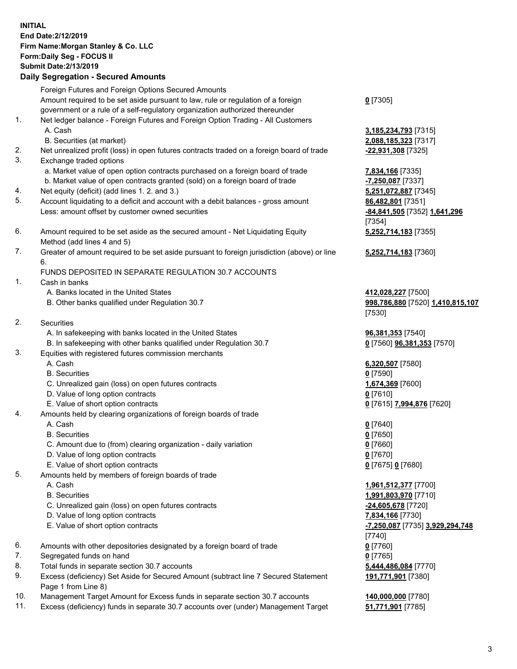## **INITIAL End Date:2/12/2019 Firm Name:Morgan Stanley & Co. LLC Form:Daily Seg - FOCUS II Submit Date:2/13/2019**

**Daily Segregation - Secured Amounts** Foreign Futures and Foreign Options Secured Amounts Amount required to be set aside pursuant to law, rule or regulation of a foreign government or a rule of a self-regulatory organization authorized thereunder 1. Net ledger balance - Foreign Futures and Foreign Option Trading - All Customers A. Cash **3,185,234,793** [7315] B. Securities (at market) **2,088,185,323** [7317] 2. Net unrealized profit (loss) in open futures contracts traded on a foreign board of trade **-22,931,308** [7325] 3. Exchange traded options a. Market value of open option contracts purchased on a foreign board of trade **7,834,166** [7335] b. Market value of open contracts granted (sold) on a foreign board of trade **-7,250,087** [7337] 4. Net equity (deficit) (add lines 1. 2. and 3.) **5,251,072,887** [7345] 5. Account liquidating to a deficit and account with a debit balances - gross amount **86,482,801** [7351] Less: amount offset by customer owned securities **-84,841,505** [7352] **1,641,296** 6. Amount required to be set aside as the secured amount - Net Liquidating Equity Method (add lines 4 and 5) 7. Greater of amount required to be set aside pursuant to foreign jurisdiction (above) or line 6. FUNDS DEPOSITED IN SEPARATE REGULATION 30.7 ACCOUNTS 1. Cash in banks A. Banks located in the United States **412,028,227** [7500] B. Other banks qualified under Regulation 30.7 **998,786,880** [7520] **1,410,815,107** 2. Securities A. In safekeeping with banks located in the United States **96,381,353** [7540] B. In safekeeping with other banks qualified under Regulation 30.7 **0** [7560] **96,381,353** [7570] 3. Equities with registered futures commission merchants A. Cash **6,320,507** [7580] B. Securities **0** [7590] C. Unrealized gain (loss) on open futures contracts **1,674,369** [7600] D. Value of long option contracts **0** [7610] E. Value of short option contracts **0** [7615] **7,994,876** [7620] 4. Amounts held by clearing organizations of foreign boards of trade A. Cash **0** [7640] B. Securities **0** [7650] C. Amount due to (from) clearing organization - daily variation **0** [7660] D. Value of long option contracts **0** [7670] E. Value of short option contracts **0** [7675] **0** [7680] 5. Amounts held by members of foreign boards of trade

- -
- C. Unrealized gain (loss) on open futures contracts **-24,605,678** [7720]
- D. Value of long option contracts **7,834,166** [7730]
- E. Value of short option contracts **-7,250,087** [7735] **3,929,294,748**
- 6. Amounts with other depositories designated by a foreign board of trade **0** [7760]
- 7. Segregated funds on hand **0** [7765]
- 8. Total funds in separate section 30.7 accounts **5,444,486,084** [7770]
- 9. Excess (deficiency) Set Aside for Secured Amount (subtract line 7 Secured Statement Page 1 from Line 8)
- 10. Management Target Amount for Excess funds in separate section 30.7 accounts **140,000,000** [7780]
- 11. Excess (deficiency) funds in separate 30.7 accounts over (under) Management Target **51,771,901** [7785]

**0** [7305]

[7354] **5,252,714,183** [7355]

**5,252,714,183** [7360]

[7530]

 A. Cash **1,961,512,377** [7700] B. Securities **1,991,803,970** [7710] [7740] **191,771,901** [7380]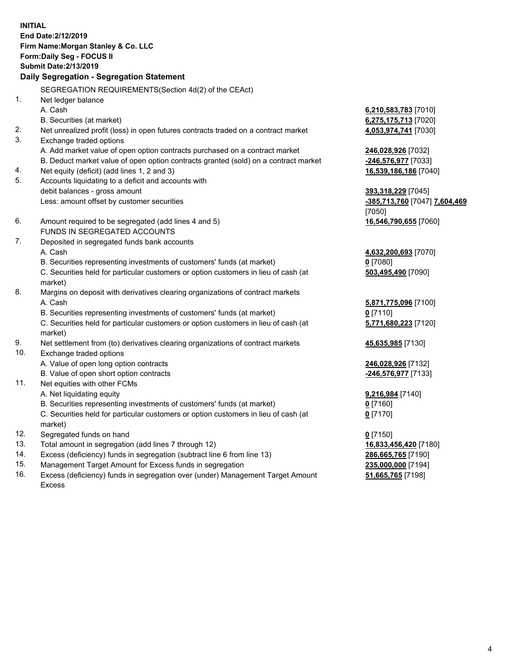**INITIAL End Date:2/12/2019 Firm Name:Morgan Stanley & Co. LLC Form:Daily Seg - FOCUS II Submit Date:2/13/2019 Daily Segregation - Segregation Statement** SEGREGATION REQUIREMENTS(Section 4d(2) of the CEAct) 1. Net ledger balance A. Cash **6,210,583,783** [7010] B. Securities (at market) **6,275,175,713** [7020] 2. Net unrealized profit (loss) in open futures contracts traded on a contract market **4,053,974,741** [7030] 3. Exchange traded options A. Add market value of open option contracts purchased on a contract market **246,028,926** [7032] B. Deduct market value of open option contracts granted (sold) on a contract market **-246,576,977** [7033] 4. Net equity (deficit) (add lines 1, 2 and 3) **16,539,186,186** [7040] 5. Accounts liquidating to a deficit and accounts with debit balances - gross amount **393,318,229** [7045] Less: amount offset by customer securities **-385,713,760** [7047] **7,604,469** [7050] 6. Amount required to be segregated (add lines 4 and 5) **16,546,790,655** [7060] FUNDS IN SEGREGATED ACCOUNTS 7. Deposited in segregated funds bank accounts A. Cash **4,632,200,693** [7070] B. Securities representing investments of customers' funds (at market) **0** [7080] C. Securities held for particular customers or option customers in lieu of cash (at market) **503,495,490** [7090] 8. Margins on deposit with derivatives clearing organizations of contract markets A. Cash **5,871,775,096** [7100] B. Securities representing investments of customers' funds (at market) **0** [7110] C. Securities held for particular customers or option customers in lieu of cash (at market) **5,771,680,223** [7120] 9. Net settlement from (to) derivatives clearing organizations of contract markets **45,635,985** [7130] 10. Exchange traded options A. Value of open long option contracts **246,028,926** [7132] B. Value of open short option contracts **-246,576,977** [7133] 11. Net equities with other FCMs A. Net liquidating equity **9,216,984** [7140] B. Securities representing investments of customers' funds (at market) **0** [7160] C. Securities held for particular customers or option customers in lieu of cash (at market) **0** [7170] 12. Segregated funds on hand **0** [7150] 13. Total amount in segregation (add lines 7 through 12) **16,833,456,420** [7180] 14. Excess (deficiency) funds in segregation (subtract line 6 from line 13) **286,665,765** [7190]

- 15. Management Target Amount for Excess funds in segregation **235,000,000** [7194]
- 16. Excess (deficiency) funds in segregation over (under) Management Target Amount Excess

**51,665,765** [7198]